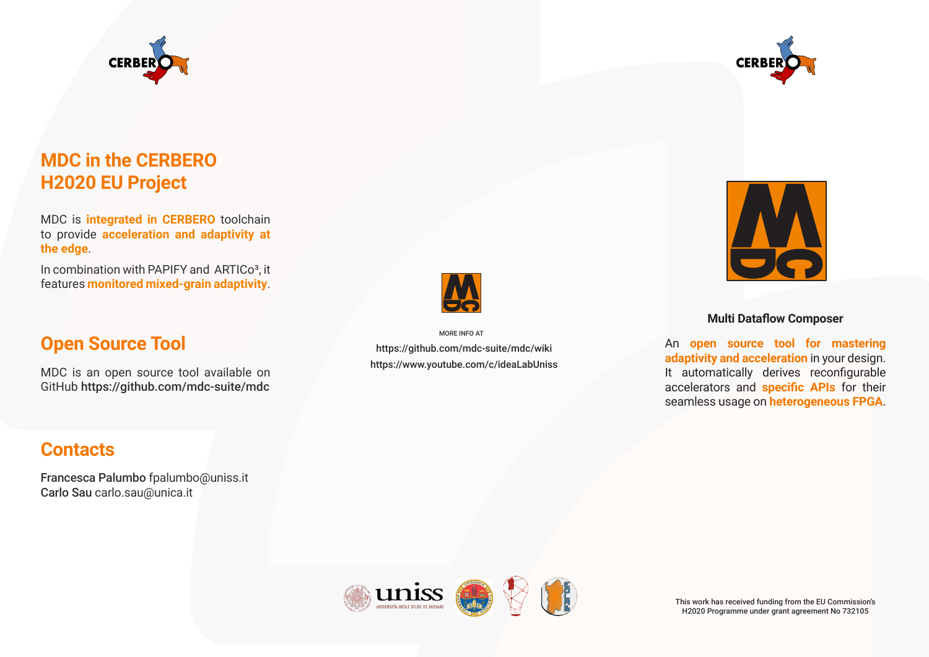



# **MDC in the CERBERO H2020 EU Project**

MDC is **integrated in CERBERO** toolchain to provide **acceleration and adaptivity at the edge**.

In combination with PAPIFY and ARTICo<sup>3</sup>, it features **monitored mixed-grain adaptivity**.

### **Open Source Tool**

MDC is an open source tool available on GitHub https://github.com/mdc-suite/mdc

# **Contacts**

Francesca Palumbo fpalumbo@uniss.it Carlo Sau carlo.sau@unica.it



https://github.com/mdc-suite/mdc/wiki https://www.youtube.com/c/ideaLabUniss MORE INFO AT



#### **Multi Dataflow Composer**

An **open source tool for mastering adaptivity and acceleration** in your design. It automatically derives reconfigurable accelerators and **specific APIs** for their seamless usage on **heterogeneous FPGA**.



This work has received funding from the EU Commission's H2020 Programme under grant agreement No 732105